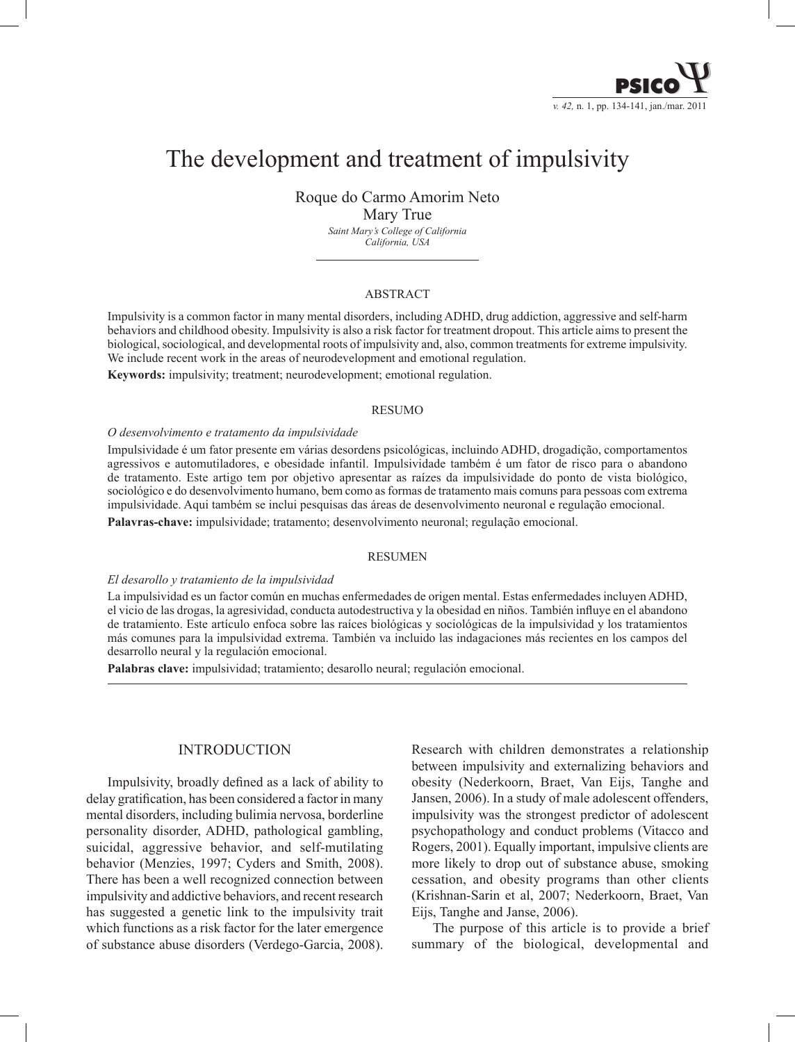

# The development and treatment of impulsivity

Roque do Carmo Amorim Neto Mary True

*Saint Mary's College of California California, USA*

### ABSTRACT

Impulsivity is a common factor in many mental disorders, including ADHD, drug addiction, aggressive and self-harm behaviors and childhood obesity. Impulsivity is also a risk factor for treatment dropout. This article aims to present the biological, sociological, and developmental roots of impulsivity and, also, common treatments for extreme impulsivity. We include recent work in the areas of neurodevelopment and emotional regulation.

**Keywords:** impulsivity; treatment; neurodevelopment; emotional regulation.

#### RESUMO

#### *O desenvolvimento e tratamento da impulsividade*

Impulsividade é um fator presente em várias desordens psicológicas, incluindo ADHD, drogadição, comportamentos agressivos e automutiladores, e obesidade infantil. Impulsividade também é um fator de risco para o abandono de tratamento. Este artigo tem por objetivo apresentar as raízes da impulsividade do ponto de vista biológico, sociológico e do desenvolvimento humano, bem como as formas de tratamento mais comuns para pessoas com extrema impulsividade. Aqui também se inclui pesquisas das áreas de desenvolvimento neuronal e regulação emocional.

**Palavras-chave:** impulsividade; tratamento; desenvolvimento neuronal; regulação emocional.

#### **RESUMEN**

#### *El desarollo y tratamiento de la impulsividad*

La impulsividad es un factor común en muchas enfermedades de origen mental. Estas enfermedades incluyen ADHD, el vicio de las drogas, la agresividad, conducta autodestructiva y la obesidad en niños. También influye en el abandono de tratamiento. Este artículo enfoca sobre las raíces biológicas y sociológicas de la impulsividad y los tratamientos más comunes para la impulsividad extrema. También va incluido las indagaciones más recientes en los campos del desarrollo neural y la regulación emocional.

**Palabras clave:** impulsividad; tratamiento; desarollo neural; regulación emocional.

# **INTRODUCTION**

Impulsivity, broadly defined as a lack of ability to delay gratification, has been considered a factor in many mental disorders, including bulimia nervosa, borderline personality disorder, ADHD, pathological gambling, suicidal, aggressive behavior, and self-mutilating behavior (Menzies, 1997; Cyders and Smith, 2008). There has been a well recognized connection between impulsivity and addictive behaviors, and recent research has suggested a genetic link to the impulsivity trait which functions as a risk factor for the later emergence of substance abuse disorders (Verdego-Garcia, 2008).

Research with children demonstrates a relationship between impulsivity and externalizing behaviors and obesity (Nederkoorn, Braet, Van Eijs, Tanghe and Jansen, 2006). In a study of male adolescent offenders, impulsivity was the strongest predictor of adolescent psychopathology and conduct problems (Vitacco and Rogers, 2001). Equally important, impulsive clients are more likely to drop out of substance abuse, smoking cessation, and obesity programs than other clients (Krishnan-Sarin et al, 2007; Nederkoorn, Braet, Van Eijs, Tanghe and Janse, 2006).

The purpose of this article is to provide a brief summary of the biological, developmental and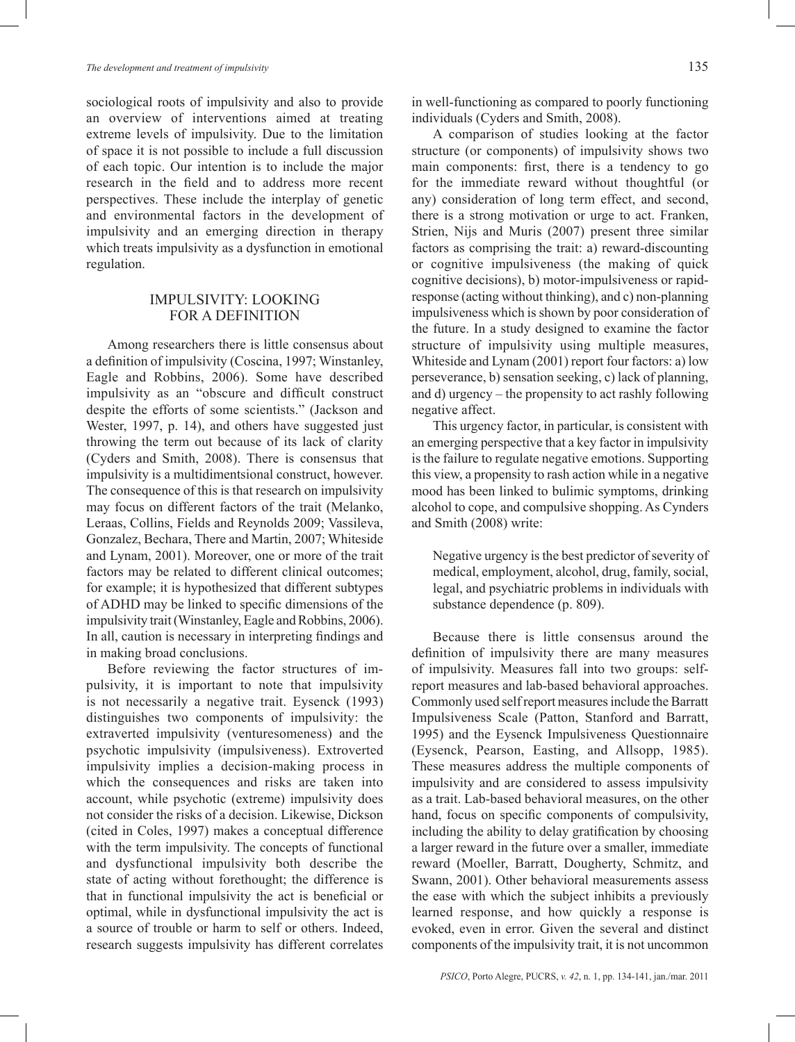sociological roots of impulsivity and also to provide an overview of interventions aimed at treating extreme levels of impulsivity. Due to the limitation of space it is not possible to include a full discussion of each topic. Our intention is to include the major research in the field and to address more recent perspectives. These include the interplay of genetic and environmental factors in the development of impulsivity and an emerging direction in therapy which treats impulsivity as a dysfunction in emotional regulation.

### Impulsivity: Looking for a definition

Among researchers there is little consensus about a definition of impulsivity (Coscina, 1997; Winstanley, Eagle and Robbins, 2006). Some have described impulsivity as an "obscure and difficult construct despite the efforts of some scientists." (Jackson and Wester, 1997, p. 14), and others have suggested just throwing the term out because of its lack of clarity (Cyders and Smith, 2008). There is consensus that impulsivity is a multidimentsional construct, however. The consequence of this is that research on impulsivity may focus on different factors of the trait (Melanko, Leraas, Collins, Fields and Reynolds 2009; Vassileva, Gonzalez, Bechara, There and Martin, 2007; Whiteside and Lynam, 2001). Moreover, one or more of the trait factors may be related to different clinical outcomes; for example; it is hypothesized that different subtypes of ADHD may be linked to specific dimensions of the impulsivity trait (Winstanley, Eagle and Robbins, 2006). In all, caution is necessary in interpreting findings and in making broad conclusions.

Before reviewing the factor structures of impulsivity, it is important to note that impulsivity is not necessarily a negative trait. Eysenck (1993) distinguishes two components of impulsivity: the extraverted impulsivity (venturesomeness) and the psychotic impulsivity (impulsiveness). Extroverted impulsivity implies a decision-making process in which the consequences and risks are taken into account, while psychotic (extreme) impulsivity does not consider the risks of a decision. Likewise, Dickson (cited in Coles, 1997) makes a conceptual difference with the term impulsivity. The concepts of functional and dysfunctional impulsivity both describe the state of acting without forethought; the difference is that in functional impulsivity the act is beneficial or optimal, while in dysfunctional impulsivity the act is a source of trouble or harm to self or others. Indeed, research suggests impulsivity has different correlates in well-functioning as compared to poorly functioning individuals (Cyders and Smith, 2008).

A comparison of studies looking at the factor structure (or components) of impulsivity shows two main components: first, there is a tendency to go for the immediate reward without thoughtful (or any) consideration of long term effect, and second, there is a strong motivation or urge to act. Franken, Strien, Nijs and Muris (2007) present three similar factors as comprising the trait: a) reward-discounting or cognitive impulsiveness (the making of quick cognitive decisions), b) motor-impulsiveness or rapidresponse (acting without thinking), and c) non-planning impulsiveness which is shown by poor consideration of the future. In a study designed to examine the factor structure of impulsivity using multiple measures, Whiteside and Lynam (2001) report four factors: a) low perseverance, b) sensation seeking, c) lack of planning, and d) urgency – the propensity to act rashly following negative affect.

This urgency factor, in particular, is consistent with an emerging perspective that a key factor in impulsivity is the failure to regulate negative emotions. Supporting this view, a propensity to rash action while in a negative mood has been linked to bulimic symptoms, drinking alcohol to cope, and compulsive shopping. As Cynders and Smith (2008) write:

Negative urgency is the best predictor of severity of medical, employment, alcohol, drug, family, social, legal, and psychiatric problems in individuals with substance dependence (p. 809).

Because there is little consensus around the definition of impulsivity there are many measures of impulsivity. Measures fall into two groups: selfreport measures and lab-based behavioral approaches. Commonly used self report measures include the Barratt Impulsiveness Scale (Patton, Stanford and Barratt, 1995) and the Eysenck Impulsiveness Questionnaire (Eysenck, Pearson, Easting, and Allsopp, 1985). These measures address the multiple components of impulsivity and are considered to assess impulsivity as a trait. Lab-based behavioral measures, on the other hand, focus on specific components of compulsivity, including the ability to delay gratification by choosing a larger reward in the future over a smaller, immediate reward (Moeller, Barratt, Dougherty, Schmitz, and Swann, 2001). Other behavioral measurements assess the ease with which the subject inhibits a previously learned response, and how quickly a response is evoked, even in error. Given the several and distinct components of the impulsivity trait, it is not uncommon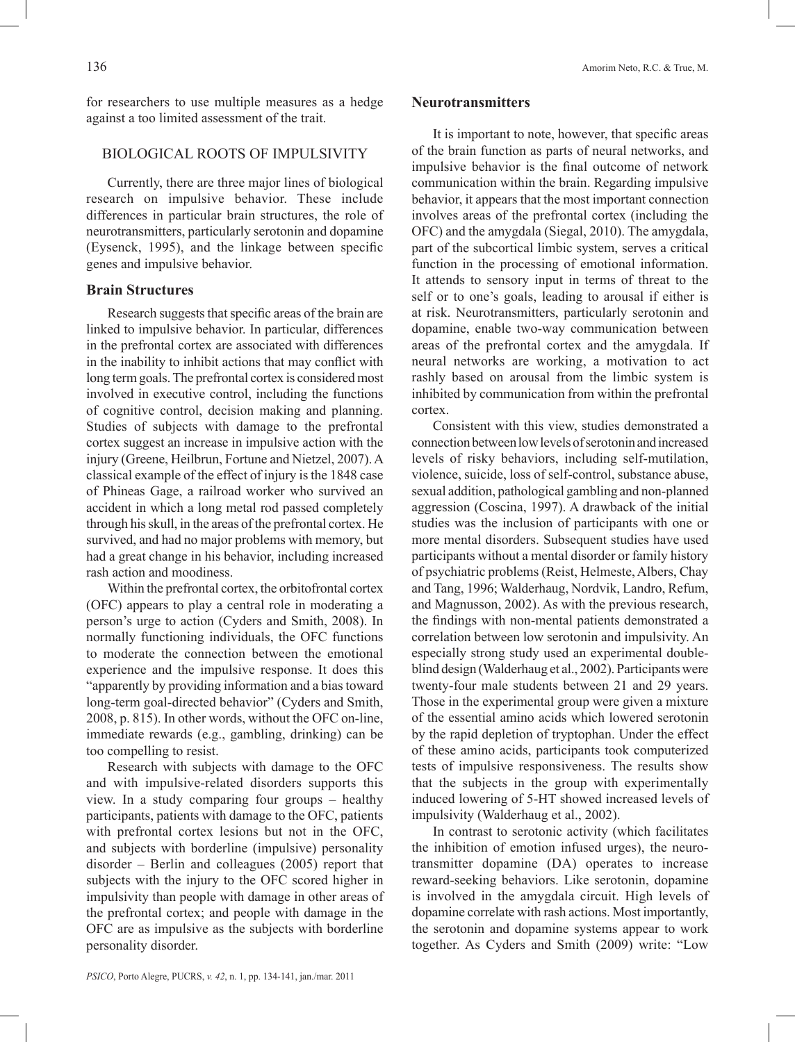for researchers to use multiple measures as a hedge against a too limited assessment of the trait.

# Biological Roots of Impulsivity

Currently, there are three major lines of biological research on impulsive behavior. These include differences in particular brain structures, the role of neurotransmitters, particularly serotonin and dopamine (Eysenck, 1995), and the linkage between specific genes and impulsive behavior.

# **Brain Structures**

Research suggests that specific areas of the brain are linked to impulsive behavior. In particular, differences in the prefrontal cortex are associated with differences in the inability to inhibit actions that may conflict with long term goals. The prefrontal cortex is considered most involved in executive control, including the functions of cognitive control, decision making and planning. Studies of subjects with damage to the prefrontal cortex suggest an increase in impulsive action with the injury (Greene, Heilbrun, Fortune and Nietzel, 2007). A classical example of the effect of injury is the 1848 case of Phineas Gage, a railroad worker who survived an accident in which a long metal rod passed completely through his skull, in the areas of the prefrontal cortex. He survived, and had no major problems with memory, but had a great change in his behavior, including increased rash action and moodiness.

Within the prefrontal cortex, the orbitofrontal cortex (OFC) appears to play a central role in moderating a person's urge to action (Cyders and Smith, 2008). In normally functioning individuals, the OFC functions to moderate the connection between the emotional experience and the impulsive response. It does this "apparently by providing information and a bias toward long-term goal-directed behavior" (Cyders and Smith, 2008, p. 815). In other words, without the OFC on-line, immediate rewards (e.g., gambling, drinking) can be too compelling to resist.

Research with subjects with damage to the OFC and with impulsive-related disorders supports this view. In a study comparing four groups – healthy participants, patients with damage to the OFC, patients with prefrontal cortex lesions but not in the OFC, and subjects with borderline (impulsive) personality disorder – Berlin and colleagues (2005) report that subjects with the injury to the OFC scored higher in impulsivity than people with damage in other areas of the prefrontal cortex; and people with damage in the OFC are as impulsive as the subjects with borderline personality disorder.

### **Neurotransmitters**

It is important to note, however, that specific areas of the brain function as parts of neural networks, and impulsive behavior is the final outcome of network communication within the brain. Regarding impulsive behavior, it appears that the most important connection involves areas of the prefrontal cortex (including the OFC) and the amygdala (Siegal, 2010). The amygdala, part of the subcortical limbic system, serves a critical function in the processing of emotional information. It attends to sensory input in terms of threat to the self or to one's goals, leading to arousal if either is at risk. Neurotransmitters, particularly serotonin and dopamine, enable two-way communication between areas of the prefrontal cortex and the amygdala. If neural networks are working, a motivation to act rashly based on arousal from the limbic system is inhibited by communication from within the prefrontal cortex.

Consistent with this view, studies demonstrated a connection between low levels of serotonin and increased levels of risky behaviors, including self-mutilation, violence, suicide, loss of self-control, substance abuse, sexual addition, pathological gambling and non-planned aggression (Coscina, 1997). A drawback of the initial studies was the inclusion of participants with one or more mental disorders. Subsequent studies have used participants without a mental disorder or family history of psychiatric problems (Reist, Helmeste, Albers, Chay and Tang, 1996; Walderhaug, Nordvik, Landro, Refum, and Magnusson, 2002). As with the previous research, the findings with non-mental patients demonstrated a correlation between low serotonin and impulsivity. An especially strong study used an experimental doubleblind design (Walderhaug et al., 2002). Participants were twenty-four male students between 21 and 29 years. Those in the experimental group were given a mixture of the essential amino acids which lowered serotonin by the rapid depletion of tryptophan. Under the effect of these amino acids, participants took computerized tests of impulsive responsiveness. The results show that the subjects in the group with experimentally induced lowering of 5-HT showed increased levels of impulsivity (Walderhaug et al., 2002).

In contrast to serotonic activity (which facilitates the inhibition of emotion infused urges), the neurotransmitter dopamine (DA) operates to increase reward-seeking behaviors. Like serotonin, dopamine is involved in the amygdala circuit. High levels of dopamine correlate with rash actions. Most importantly, the serotonin and dopamine systems appear to work together. As Cyders and Smith (2009) write: "Low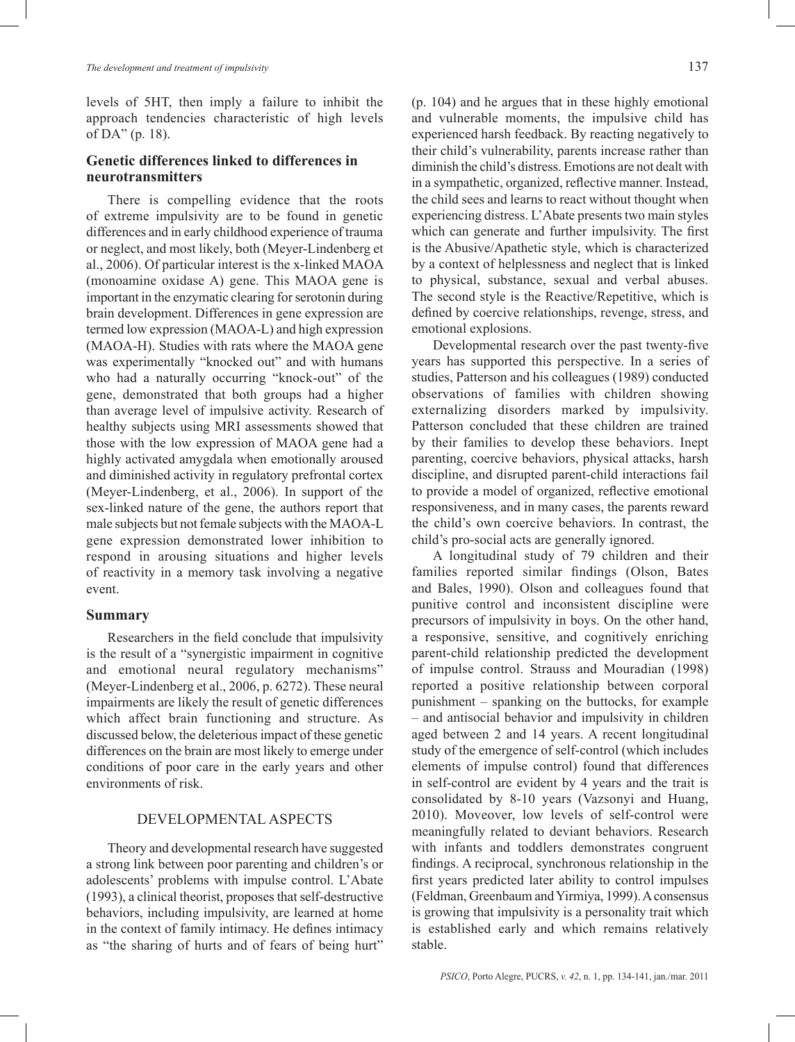levels of 5HT, then imply a failure to inhibit the approach tendencies characteristic of high levels of DA" (p. 18).

# **Genetic differences linked to differences in neurotransmitters**

There is compelling evidence that the roots of extreme impulsivity are to be found in genetic differences and in early childhood experience of trauma or neglect, and most likely, both (Meyer-Lindenberg et al., 2006). Of particular interest is the x-linked MAOA (monoamine oxidase A) gene. This MAOA gene is important in the enzymatic clearing for serotonin during brain development. Differences in gene expression are termed low expression (MAOA-L) and high expression (MAOA-H). Studies with rats where the MAOA gene was experimentally "knocked out" and with humans who had a naturally occurring "knock-out" of the gene, demonstrated that both groups had a higher than average level of impulsive activity. Research of healthy subjects using MRI assessments showed that those with the low expression of MAOA gene had a highly activated amygdala when emotionally aroused and diminished activity in regulatory prefrontal cortex (Meyer-Lindenberg, et al., 2006). In support of the sex-linked nature of the gene, the authors report that male subjects but not female subjects with the MAOA-L gene expression demonstrated lower inhibition to respond in arousing situations and higher levels of reactivity in a memory task involving a negative event.

# **Summary**

Researchers in the field conclude that impulsivity is the result of a "synergistic impairment in cognitive and emotional neural regulatory mechanisms" (Meyer-Lindenberg et al., 2006, p. 6272). These neural impairments are likely the result of genetic differences which affect brain functioning and structure. As discussed below, the deleterious impact of these genetic differences on the brain are most likely to emerge under conditions of poor care in the early years and other environments of risk.

# Developmental Aspects

Theory and developmental research have suggested a strong link between poor parenting and children's or adolescents' problems with impulse control. L'Abate (1993), a clinical theorist, proposes that self-destructive behaviors, including impulsivity, are learned at home in the context of family intimacy. He defines intimacy as "the sharing of hurts and of fears of being hurt" (p. 104) and he argues that in these highly emotional and vulnerable moments, the impulsive child has experienced harsh feedback. By reacting negatively to their child's vulnerability, parents increase rather than diminish the child's distress. Emotions are not dealt with in a sympathetic, organized, reflective manner. Instead, the child sees and learns to react without thought when experiencing distress. L'Abate presents two main styles which can generate and further impulsivity. The first is the Abusive/Apathetic style, which is characterized by a context of helplessness and neglect that is linked to physical, substance, sexual and verbal abuses. The second style is the Reactive/Repetitive, which is defined by coercive relationships, revenge, stress, and emotional explosions.

Developmental research over the past twenty-five years has supported this perspective. In a series of studies, Patterson and his colleagues (1989) conducted observations of families with children showing externalizing disorders marked by impulsivity. Patterson concluded that these children are trained by their families to develop these behaviors. Inept parenting, coercive behaviors, physical attacks, harsh discipline, and disrupted parent-child interactions fail to provide a model of organized, reflective emotional responsiveness, and in many cases, the parents reward the child's own coercive behaviors. In contrast, the child's pro-social acts are generally ignored.

A longitudinal study of 79 children and their families reported similar findings (Olson, Bates and Bales, 1990). Olson and colleagues found that punitive control and inconsistent discipline were precursors of impulsivity in boys. On the other hand, a responsive, sensitive, and cognitively enriching parent-child relationship predicted the development of impulse control. Strauss and Mouradian (1998) reported a positive relationship between corporal punishment – spanking on the buttocks, for example – and antisocial behavior and impulsivity in children aged between 2 and 14 years. A recent longitudinal study of the emergence of self-control (which includes elements of impulse control) found that differences in self-control are evident by 4 years and the trait is consolidated by 8-10 years (Vazsonyi and Huang, 2010). Moveover, low levels of self-control were meaningfully related to deviant behaviors. Research with infants and toddlers demonstrates congruent findings. A reciprocal, synchronous relationship in the first years predicted later ability to control impulses (Feldman, Greenbaum and Yirmiya, 1999). A consensus is growing that impulsivity is a personality trait which is established early and which remains relatively stable.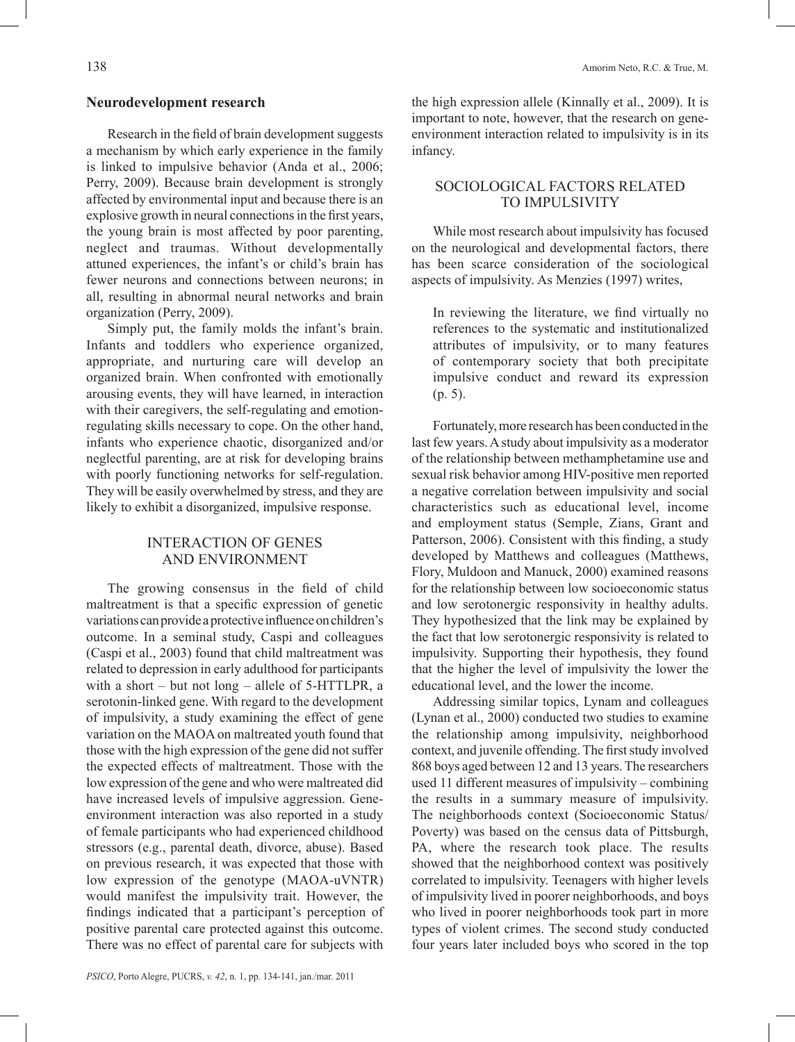### **Neurodevelopment research**

Research in the field of brain development suggests a mechanism by which early experience in the family is linked to impulsive behavior (Anda et al., 2006; Perry, 2009). Because brain development is strongly affected by environmental input and because there is an explosive growth in neural connections in the first years, the young brain is most affected by poor parenting, neglect and traumas. Without developmentally attuned experiences, the infant's or child's brain has fewer neurons and connections between neurons; in all, resulting in abnormal neural networks and brain organization (Perry, 2009).

Simply put, the family molds the infant's brain. Infants and toddlers who experience organized, appropriate, and nurturing care will develop an organized brain. When confronted with emotionally arousing events, they will have learned, in interaction with their caregivers, the self-regulating and emotionregulating skills necessary to cope. On the other hand, infants who experience chaotic, disorganized and/or neglectful parenting, are at risk for developing brains with poorly functioning networks for self-regulation. They will be easily overwhelmed by stress, and they are likely to exhibit a disorganized, impulsive response.

# Interaction of Genes and Environment

The growing consensus in the field of child maltreatment is that a specific expression of genetic variations can provide a protective influence on children's outcome. In a seminal study, Caspi and colleagues (Caspi et al., 2003) found that child maltreatment was related to depression in early adulthood for participants with a short – but not long – allele of 5-HTTLPR, a serotonin-linked gene. With regard to the development of impulsivity, a study examining the effect of gene variation on the MAOA on maltreated youth found that those with the high expression of the gene did not suffer the expected effects of maltreatment. Those with the low expression of the gene and who were maltreated did have increased levels of impulsive aggression. Geneenvironment interaction was also reported in a study of female participants who had experienced childhood stressors (e.g., parental death, divorce, abuse). Based on previous research, it was expected that those with low expression of the genotype (MAOA-uVNTR) would manifest the impulsivity trait. However, the findings indicated that a participant's perception of positive parental care protected against this outcome. There was no effect of parental care for subjects with

# Sociological Factors related to Impulsivity

While most research about impulsivity has focused on the neurological and developmental factors, there has been scarce consideration of the sociological aspects of impulsivity. As Menzies (1997) writes,

In reviewing the literature, we find virtually no references to the systematic and institutionalized attributes of impulsivity, or to many features of contemporary society that both precipitate impulsive conduct and reward its expression (p. 5).

Fortunately, more research has been conducted in the last few years. A study about impulsivity as a moderator of the relationship between methamphetamine use and sexual risk behavior among HIV-positive men reported a negative correlation between impulsivity and social characteristics such as educational level, income and employment status (Semple, Zians, Grant and Patterson, 2006). Consistent with this finding, a study developed by Matthews and colleagues (Matthews, Flory, Muldoon and Manuck, 2000) examined reasons for the relationship between low socioeconomic status and low serotonergic responsivity in healthy adults. They hypothesized that the link may be explained by the fact that low serotonergic responsivity is related to impulsivity. Supporting their hypothesis, they found that the higher the level of impulsivity the lower the educational level, and the lower the income.

Addressing similar topics, Lynam and colleagues (Lynan et al., 2000) conducted two studies to examine the relationship among impulsivity, neighborhood context, and juvenile offending. The first study involved 868 boys aged between 12 and 13 years. The researchers used 11 different measures of impulsivity – combining the results in a summary measure of impulsivity. The neighborhoods context (Socioeconomic Status/ Poverty) was based on the census data of Pittsburgh, PA, where the research took place. The results showed that the neighborhood context was positively correlated to impulsivity. Teenagers with higher levels of impulsivity lived in poorer neighborhoods, and boys who lived in poorer neighborhoods took part in more types of violent crimes. The second study conducted four years later included boys who scored in the top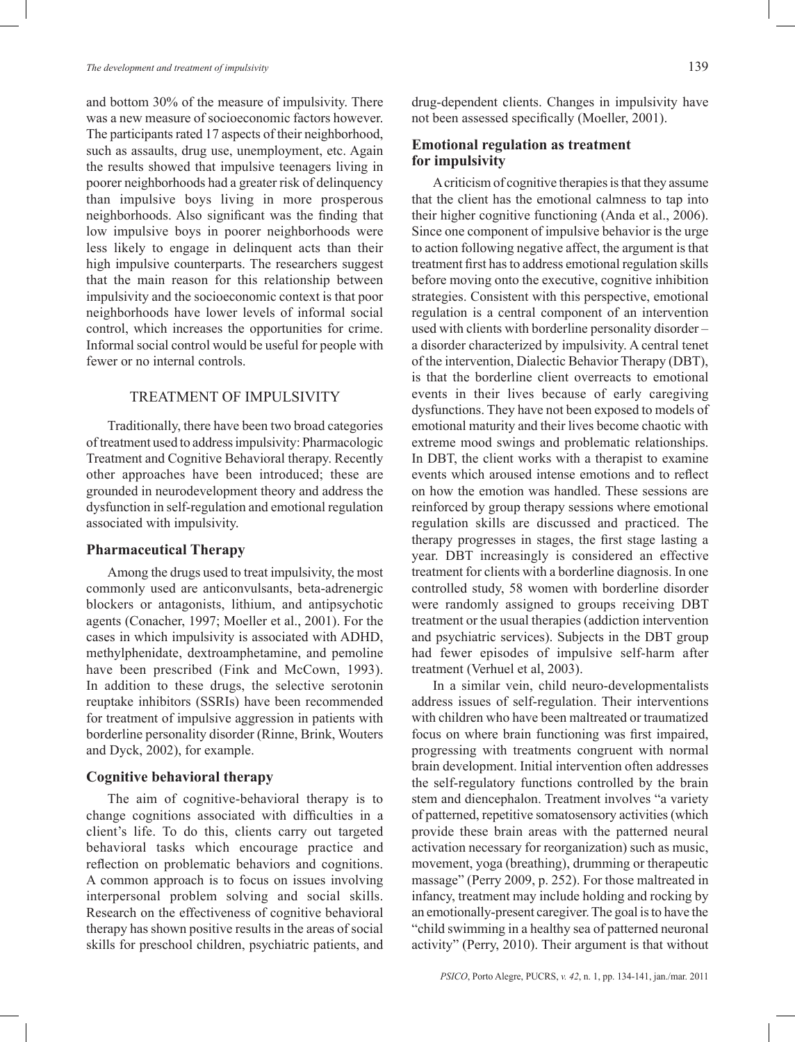and bottom 30% of the measure of impulsivity. There was a new measure of socioeconomic factors however. The participants rated 17 aspects of their neighborhood, such as assaults, drug use, unemployment, etc. Again the results showed that impulsive teenagers living in poorer neighborhoods had a greater risk of delinquency than impulsive boys living in more prosperous neighborhoods. Also significant was the finding that low impulsive boys in poorer neighborhoods were less likely to engage in delinquent acts than their high impulsive counterparts. The researchers suggest that the main reason for this relationship between impulsivity and the socioeconomic context is that poor neighborhoods have lower levels of informal social control, which increases the opportunities for crime. Informal social control would be useful for people with fewer or no internal controls.

# Treatment of Impulsivity

Traditionally, there have been two broad categories of treatment used to address impulsivity: Pharmacologic Treatment and Cognitive Behavioral therapy. Recently other approaches have been introduced; these are grounded in neurodevelopment theory and address the dysfunction in self-regulation and emotional regulation associated with impulsivity.

### **Pharmaceutical Therapy**

Among the drugs used to treat impulsivity, the most commonly used are anticonvulsants, beta-adrenergic blockers or antagonists, lithium, and antipsychotic agents (Conacher, 1997; Moeller et al., 2001). For the cases in which impulsivity is associated with ADHD, methylphenidate, dextroamphetamine, and pemoline have been prescribed (Fink and McCown, 1993). In addition to these drugs, the selective serotonin reuptake inhibitors (SSRIs) have been recommended for treatment of impulsive aggression in patients with borderline personality disorder (Rinne, Brink, Wouters and Dyck, 2002), for example.

# **Cognitive behavioral therapy**

The aim of cognitive-behavioral therapy is to change cognitions associated with difficulties in a client's life. To do this, clients carry out targeted behavioral tasks which encourage practice and reflection on problematic behaviors and cognitions. A common approach is to focus on issues involving interpersonal problem solving and social skills. Research on the effectiveness of cognitive behavioral therapy has shown positive results in the areas of social skills for preschool children, psychiatric patients, and drug-dependent clients. Changes in impulsivity have not been assessed specifically (Moeller, 2001).

# **Emotional regulation as treatment for impulsivity**

A criticism of cognitive therapies is that they assume that the client has the emotional calmness to tap into their higher cognitive functioning (Anda et al., 2006). Since one component of impulsive behavior is the urge to action following negative affect, the argument is that treatment first has to address emotional regulation skills before moving onto the executive, cognitive inhibition strategies. Consistent with this perspective, emotional regulation is a central component of an intervention used with clients with borderline personality disorder – a disorder characterized by impulsivity. A central tenet of the intervention, Dialectic Behavior Therapy (DBT), is that the borderline client overreacts to emotional events in their lives because of early caregiving dysfunctions. They have not been exposed to models of emotional maturity and their lives become chaotic with extreme mood swings and problematic relationships. In DBT, the client works with a therapist to examine events which aroused intense emotions and to reflect on how the emotion was handled. These sessions are reinforced by group therapy sessions where emotional regulation skills are discussed and practiced. The therapy progresses in stages, the first stage lasting a year. DBT increasingly is considered an effective treatment for clients with a borderline diagnosis. In one controlled study, 58 women with borderline disorder were randomly assigned to groups receiving DBT treatment or the usual therapies (addiction intervention and psychiatric services). Subjects in the DBT group had fewer episodes of impulsive self-harm after treatment (Verhuel et al, 2003).

In a similar vein, child neuro-developmentalists address issues of self-regulation. Their interventions with children who have been maltreated or traumatized focus on where brain functioning was first impaired, progressing with treatments congruent with normal brain development. Initial intervention often addresses the self-regulatory functions controlled by the brain stem and diencephalon. Treatment involves "a variety of patterned, repetitive somatosensory activities (which provide these brain areas with the patterned neural activation necessary for reorganization) such as music, movement, yoga (breathing), drumming or therapeutic massage" (Perry 2009, p. 252). For those maltreated in infancy, treatment may include holding and rocking by an emotionally-present caregiver. The goal is to have the "child swimming in a healthy sea of patterned neuronal activity" (Perry, 2010). Their argument is that without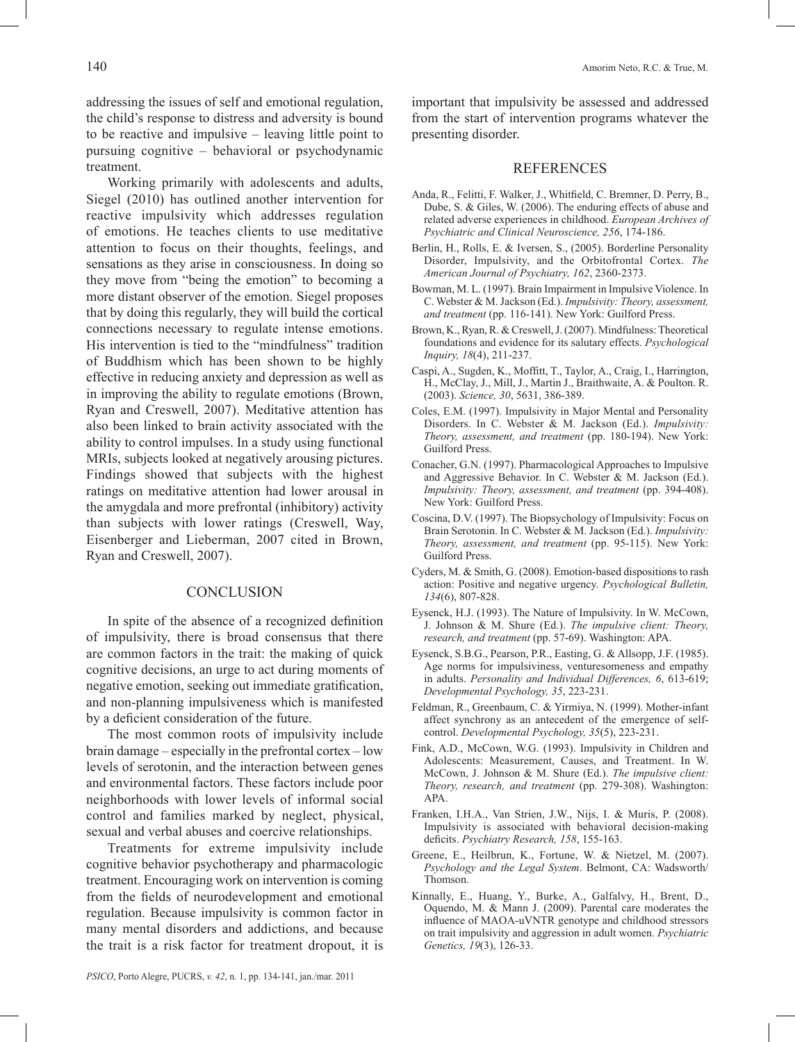addressing the issues of self and emotional regulation, the child's response to distress and adversity is bound to be reactive and impulsive – leaving little point to pursuing cognitive – behavioral or psychodynamic treatment.

Working primarily with adolescents and adults, Siegel (2010) has outlined another intervention for reactive impulsivity which addresses regulation of emotions. He teaches clients to use meditative attention to focus on their thoughts, feelings, and sensations as they arise in consciousness. In doing so they move from "being the emotion" to becoming a more distant observer of the emotion. Siegel proposes that by doing this regularly, they will build the cortical connections necessary to regulate intense emotions. His intervention is tied to the "mindfulness" tradition of Buddhism which has been shown to be highly effective in reducing anxiety and depression as well as in improving the ability to regulate emotions (Brown, Ryan and Creswell, 2007). Meditative attention has also been linked to brain activity associated with the ability to control impulses. In a study using functional MRIs, subjects looked at negatively arousing pictures. Findings showed that subjects with the highest ratings on meditative attention had lower arousal in the amygdala and more prefrontal (inhibitory) activity than subjects with lower ratings (Creswell, Way, Eisenberger and Lieberman, 2007 cited in Brown, Ryan and Creswell, 2007).

#### **CONCLUSION**

In spite of the absence of a recognized definition of impulsivity, there is broad consensus that there are common factors in the trait: the making of quick cognitive decisions, an urge to act during moments of negative emotion, seeking out immediate gratification, and non-planning impulsiveness which is manifested by a deficient consideration of the future.

The most common roots of impulsivity include brain damage – especially in the prefrontal cortex – low levels of serotonin, and the interaction between genes and environmental factors. These factors include poor neighborhoods with lower levels of informal social control and families marked by neglect, physical, sexual and verbal abuses and coercive relationships.

Treatments for extreme impulsivity include cognitive behavior psychotherapy and pharmacologic treatment. Encouraging work on intervention is coming from the fields of neurodevelopment and emotional regulation. Because impulsivity is common factor in many mental disorders and addictions, and because the trait is a risk factor for treatment dropout, it is important that impulsivity be assessed and addressed from the start of intervention programs whatever the presenting disorder.

### **REFERENCES**

- Anda, R., Felitti, F. Walker, J., Whitfield, C. Bremner, D. Perry, B., Dube, S. & Giles, W. (2006). The enduring effects of abuse and related adverse experiences in childhood. *European Archives of Psychiatric and Clinical Neuroscience, 256*, 174-186.
- Berlin, H., Rolls, E. & Iversen, S., (2005). Borderline Personality Disorder, Impulsivity, and the Orbitofrontal Cortex. *The American Journal of Psychiatry, 162*, 2360-2373.
- Bowman, M. L. (1997). Brain Impairment in Impulsive Violence. In C. Webster & M. Jackson (Ed.). *Impulsivity: Theory, assessment, and treatment* (pp. 116-141). New York: Guilford Press.
- Brown, K., Ryan, R. & Creswell, J. (2007). Mindfulness: Theoretical foundations and evidence for its salutary effects. *Psychological Inquiry, 18*(4), 211-237.
- Caspi, A., Sugden, K., Moffitt, T., Taylor, A., Craig, I., Harrington, H., McClay, J., Mill, J., Martin J., Braithwaite, A. & Poulton. R. (2003). *Science, 30*, 5631, 386-389.
- Coles, E.M. (1997). Impulsivity in Major Mental and Personality Disorders. In C. Webster & M. Jackson (Ed.). *Impulsivity: Theory, assessment, and treatment* (pp. 180-194). New York: Guilford Press.
- Conacher, G.N. (1997). Pharmacological Approaches to Impulsive and Aggressive Behavior. In C. Webster & M. Jackson (Ed.). *Impulsivity: Theory, assessment, and treatment* (pp. 394-408). New York: Guilford Press.
- Coscina, D.V. (1997). The Biopsychology of Impulsivity: Focus on Brain Serotonin. In C. Webster & M. Jackson (Ed.). *Impulsivity: Theory, assessment, and treatment* (pp. 95-115). New York: Guilford Press.
- Cyders, M. & Smith, G. (2008). Emotion-based dispositions to rash action: Positive and negative urgency. *Psychological Bulletin, 134*(6), 807-828.
- Eysenck, H.J. (1993). The Nature of Impulsivity. In W. McCown, J. Johnson & M. Shure (Ed.). *The impulsive client: Theory, research, and treatment* (pp. 57-69). Washington: APA.
- Eysenck, S.B.G., Pearson, P.R., Easting, G. & Allsopp, J.F. (1985). Age norms for impulsiviness, venturesomeness and empathy in adults. *Personality and Individual Differences, 6*, 613-619; *Developmental Psychology, 35*, 223-231.
- Feldman, R., Greenbaum, C. & Yirmiya, N. (1999). Mother-infant affect synchrony as an antecedent of the emergence of selfcontrol. *Developmental Psychology, 35*(5), 223-231.
- Fink, A.D., McCown, W.G. (1993). Impulsivity in Children and Adolescents: Measurement, Causes, and Treatment. In W. McCown, J. Johnson & M. Shure (Ed.). *The impulsive client: Theory, research, and treatment* (pp. 279-308). Washington: APA.
- Franken, I.H.A., Van Strien, J.W., Nijs, I. & Muris, P. (2008). Impulsivity is associated with behavioral decision-making deficits. *Psychiatry Research, 158*, 155-163.
- Greene, E., Heilbrun, K., Fortune, W. & Nietzel, M. (2007). *Psychology and the Legal System*. Belmont, CA: Wadsworth/ Thomson.
- Kinnally, E., Huang, Y., Burke, A., Galfalvy, H., Brent, D., Oquendo, M. & Mann J. (2009). Parental care moderates the influence of MAOA-uVNTR genotype and childhood stressors on trait impulsivity and aggression in adult women. *Psychiatric Genetics, 19*(3), 126-33.